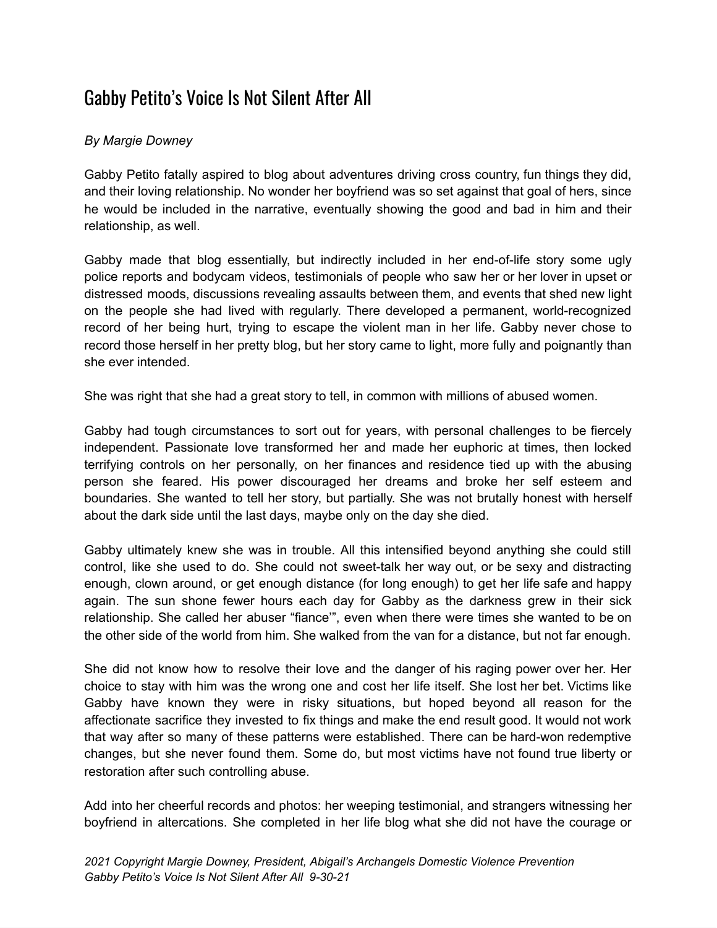## Gabby Petito's Voice Is Not Silent After All

## *By Margie Downey*

Gabby Petito fatally aspired to blog about adventures driving cross country, fun things they did, and their loving relationship. No wonder her boyfriend was so set against that goal of hers, since he would be included in the narrative, eventually showing the good and bad in him and their relationship, as well.

Gabby made that blog essentially, but indirectly included in her end-of-life story some ugly police reports and bodycam videos, testimonials of people who saw her or her lover in upset or distressed moods, discussions revealing assaults between them, and events that shed new light on the people she had lived with regularly. There developed a permanent, world-recognized record of her being hurt, trying to escape the violent man in her life. Gabby never chose to record those herself in her pretty blog, but her story came to light, more fully and poignantly than she ever intended.

She was right that she had a great story to tell, in common with millions of abused women.

Gabby had tough circumstances to sort out for years, with personal challenges to be fiercely independent. Passionate love transformed her and made her euphoric at times, then locked terrifying controls on her personally, on her finances and residence tied up with the abusing person she feared. His power discouraged her dreams and broke her self esteem and boundaries. She wanted to tell her story, but partially. She was not brutally honest with herself about the dark side until the last days, maybe only on the day she died.

Gabby ultimately knew she was in trouble. All this intensified beyond anything she could still control, like she used to do. She could not sweet-talk her way out, or be sexy and distracting enough, clown around, or get enough distance (for long enough) to get her life safe and happy again. The sun shone fewer hours each day for Gabby as the darkness grew in their sick relationship. She called her abuser "fiance'", even when there were times she wanted to be on the other side of the world from him. She walked from the van for a distance, but not far enough.

She did not know how to resolve their love and the danger of his raging power over her. Her choice to stay with him was the wrong one and cost her life itself. She lost her bet. Victims like Gabby have known they were in risky situations, but hoped beyond all reason for the affectionate sacrifice they invested to fix things and make the end result good. It would not work that way after so many of these patterns were established. There can be hard-won redemptive changes, but she never found them. Some do, but most victims have not found true liberty or restoration after such controlling abuse.

Add into her cheerful records and photos: her weeping testimonial, and strangers witnessing her boyfriend in altercations. She completed in her life blog what she did not have the courage or